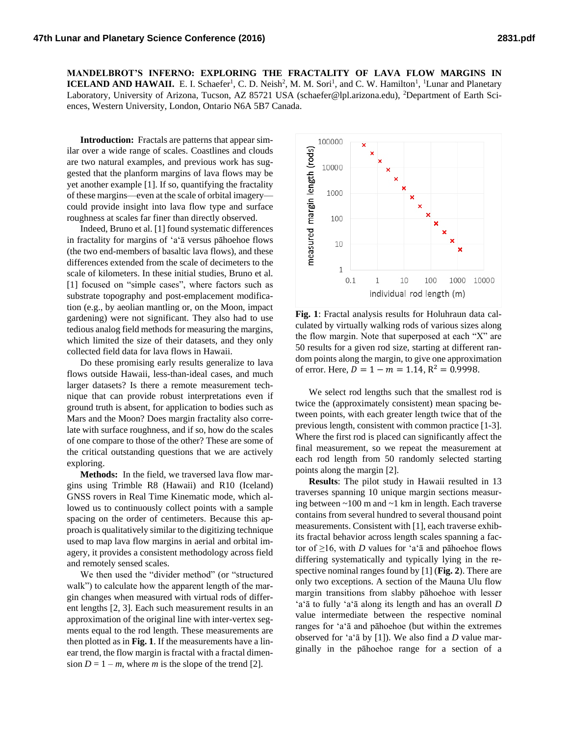**MANDELBROT'S INFERNO: EXPLORING THE FRACTALITY OF LAVA FLOW MARGINS IN ICELAND AND HAWAII.** E. I. Schaefer<sup>1</sup>, C. D. Neish<sup>2</sup>, M. M. Sori<sup>1</sup>, and C. W. Hamilton<sup>1</sup>, <sup>1</sup>Lunar and Planetary Laboratory, University of Arizona, Tucson, AZ 85721 USA (schaefer@lpl.arizona.edu), <sup>2</sup>Department of Earth Sciences, Western University, London, Ontario N6A 5B7 Canada.

**Introduction:** Fractals are patterns that appear similar over a wide range of scales. Coastlines and clouds are two natural examples, and previous work has suggested that the planform margins of lava flows may be yet another example [1]. If so, quantifying the fractality of these margins—even at the scale of orbital imagery could provide insight into lava flow type and surface roughness at scales far finer than directly observed.

Indeed, Bruno et al. [1] found systematic differences in fractality for margins of 'a'ā versus pāhoehoe flows (the two end-members of basaltic lava flows), and these differences extended from the scale of decimeters to the scale of kilometers. In these initial studies, Bruno et al. [1] focused on "simple cases", where factors such as substrate topography and post-emplacement modification (e.g., by aeolian mantling or, on the Moon, impact gardening) were not significant. They also had to use tedious analog field methods for measuring the margins, which limited the size of their datasets, and they only collected field data for lava flows in Hawaii.

Do these promising early results generalize to lava flows outside Hawaii, less-than-ideal cases, and much larger datasets? Is there a remote measurement technique that can provide robust interpretations even if ground truth is absent, for application to bodies such as Mars and the Moon? Does margin fractality also correlate with surface roughness, and if so, how do the scales of one compare to those of the other? These are some of the critical outstanding questions that we are actively exploring.

**Methods:** In the field, we traversed lava flow margins using Trimble R8 (Hawaii) and R10 (Iceland) GNSS rovers in Real Time Kinematic mode, which allowed us to continuously collect points with a sample spacing on the order of centimeters. Because this approach is qualitatively similar to the digitizing technique used to map lava flow margins in aerial and orbital imagery, it provides a consistent methodology across field and remotely sensed scales.

We then used the "divider method" (or "structured walk") to calculate how the apparent length of the margin changes when measured with virtual rods of different lengths [2, 3]. Each such measurement results in an approximation of the original line with inter-vertex segments equal to the rod length. These measurements are then plotted as in **Fig. 1**. If the measurements have a linear trend, the flow margin is fractal with a fractal dimension  $D = 1 - m$ , where *m* is the slope of the trend [2].



**Fig. 1**: Fractal analysis results for Holuhraun data calculated by virtually walking rods of various sizes along the flow margin. Note that superposed at each "X" are 50 results for a given rod size, starting at different random points along the margin, to give one approximation of error. Here,  $D = 1 - m = 1.14$ ,  $R^2 = 0.9998$ .

We select rod lengths such that the smallest rod is twice the (approximately consistent) mean spacing between points, with each greater length twice that of the previous length, consistent with common practice [1-3]. Where the first rod is placed can significantly affect the final measurement, so we repeat the measurement at each rod length from 50 randomly selected starting points along the margin [2].

**Results**: The pilot study in Hawaii resulted in 13 traverses spanning 10 unique margin sections measuring between ~100 m and ~1 km in length. Each traverse contains from several hundred to several thousand point measurements. Consistent with [1], each traverse exhibits fractal behavior across length scales spanning a factor of  $\geq$ 16, with *D* values for 'a'<sub></sub> $\bar{a}$  and pahoehoe flows differing systematically and typically lying in the respective nominal ranges found by [1] (**Fig. 2**). There are only two exceptions. A section of the Mauna Ulu flow margin transitions from slabby pāhoehoe with lesser 'a'ā to fully 'a'ā along its length and has an overall *D* value intermediate between the respective nominal ranges for 'a'ā and pāhoehoe (but within the extremes observed for 'a'ā by [1]). We also find a *D* value marginally in the pāhoehoe range for a section of a